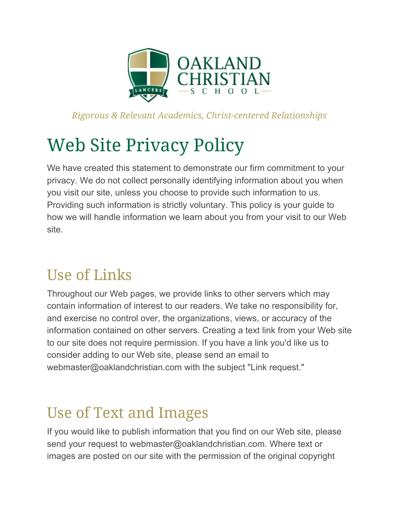

*Rigorous & Relevant Academics, Christ-centered Relationships*

# Web Site Privacy Policy

We have created this statement to demonstrate our firm commitment to your privacy. We do not collect personally identifying information about you when you visit our site, unless you choose to provide such information to us. Providing such information is strictly voluntary. This policy is your guide to how we will handle information we learn about you from your visit to our Web site.

## Use of Links

Throughout our Web pages, we provide links to other servers which may contain information of interest to our readers. We take no responsibility for, and exercise no control over, the organizations, views, or accuracy of the information contained on other servers. Creating a text link from your Web site to our site does not require permission. If you have a link you'd like us to consider adding to our Web site, please send an email to webmaster@oaklandchristian.com with the subject "Link request."

## Use of Text and Images

If you would like to publish information that you find on our Web site, please send your request to webmaster@oaklandchristian.com. Where text or images are posted on our site with the permission of the original copyright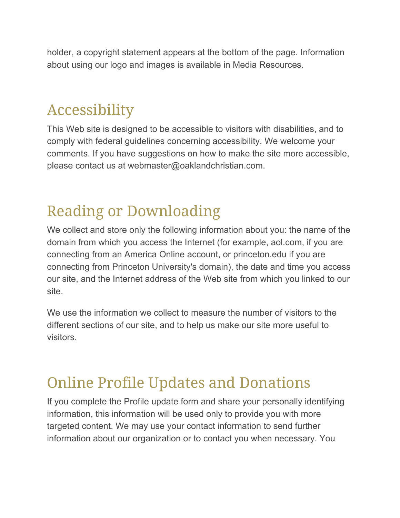holder, a copyright statement appears at the bottom of the page. Information about using our logo and images is available in Media Resources.

## Accessibility

This Web site is designed to be accessible to visitors with disabilities, and to comply with federal guidelines concerning accessibility. We welcome your comments. If you have suggestions on how to make the site more accessible, please contact us at webmaster@oaklandchristian.com.

# Reading or Downloading

We collect and store only the following information about you: the name of the domain from which you access the Internet (for example, aol.com, if you are connecting from an America Online account, or princeton.edu if you are connecting from Princeton University's domain), the date and time you access our site, and the Internet address of the Web site from which you linked to our site.

We use the information we collect to measure the number of visitors to the different sections of our site, and to help us make our site more useful to visitors.

#### Online Profile Updates and Donations

If you complete the Profile update form and share your personally identifying information, this information will be used only to provide you with more targeted content. We may use your contact information to send further information about our organization or to contact you when necessary. You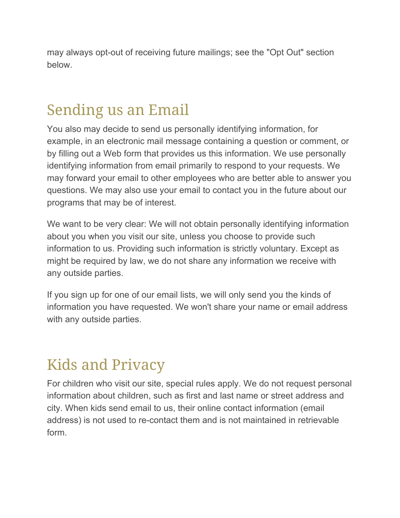may always opt-out of receiving future mailings; see the "Opt Out" section below.

# Sending us an Email

You also may decide to send us personally identifying information, for example, in an electronic mail message containing a question or comment, or by filling out a Web form that provides us this information. We use personally identifying information from email primarily to respond to your requests. We may forward your email to other employees who are better able to answer you questions. We may also use your email to contact you in the future about our programs that may be of interest.

We want to be very clear: We will not obtain personally identifying information about you when you visit our site, unless you choose to provide such information to us. Providing such information is strictly voluntary. Except as might be required by law, we do not share any information we receive with any outside parties.

If you sign up for one of our email lists, we will only send you the kinds of information you have requested. We won't share your name or email address with any outside parties.

#### Kids and Privacy

For children who visit our site, special rules apply. We do not request personal information about children, such as first and last name or street address and city. When kids send email to us, their online contact information (email address) is not used to re-contact them and is not maintained in retrievable form.